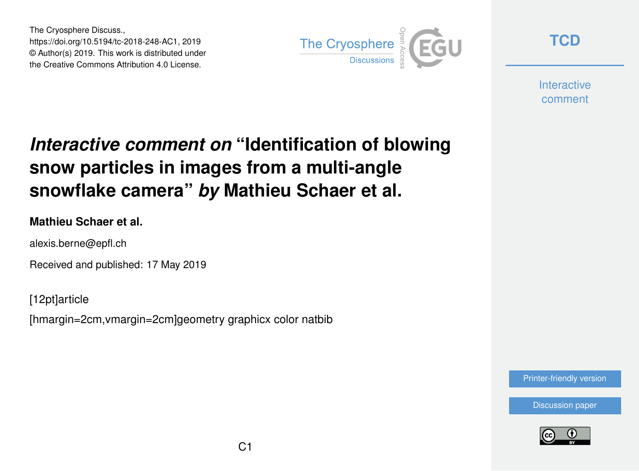The Cryosphere Discuss., https://doi.org/10.5194/tc-2018-248-AC1, 2019 © Author(s) 2019. This work is distributed under the Creative Commons Attribution 4.0 License.



**[TCD](https://www.the-cryosphere-discuss.net/)**

**Interactive** comment

# *Interactive comment on* **"Identification of blowing snow particles in images from a multi-angle snowflake camera"** *by* **Mathieu Schaer et al.**

#### **Mathieu Schaer et al.**

alexis.berne@epfl.ch

Received and published: 17 May 2019

[12pt]article

[hmargin=2cm,vmargin=2cm]geometry graphicx color natbib

[Printer-friendly version](https://www.the-cryosphere-discuss.net/tc-2018-248/tc-2018-248-AC1-print.pdf)

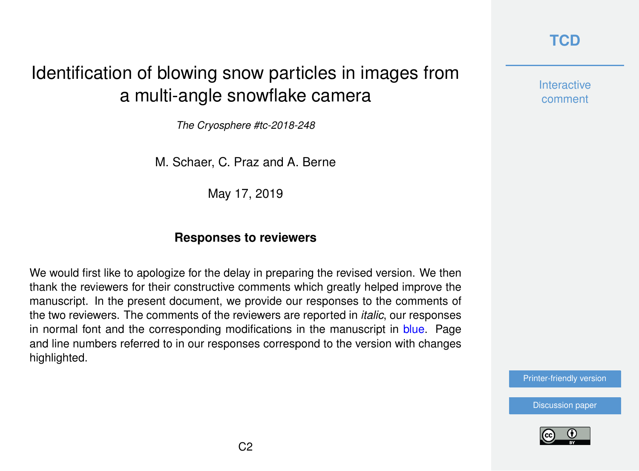### **[TCD](https://www.the-cryosphere-discuss.net/)**

**Interactive** comment

[Printer-friendly version](https://www.the-cryosphere-discuss.net/tc-2018-248/tc-2018-248-AC1-print.pdf)

[Discussion paper](https://www.the-cryosphere-discuss.net/tc-2018-248)



# Identification of blowing snow particles in images from a multi-angle snowflake camera

*The Cryosphere #tc-2018-248*

M. Schaer, C. Praz and A. Berne

May 17, 2019

### **Responses to reviewers**

We would first like to apologize for the delay in preparing the revised version. We then thank the reviewers for their constructive comments which greatly helped improve the manuscript. In the present document, we provide our responses to the comments of the two reviewers. The comments of the reviewers are reported in *italic*, our responses in normal font and the corresponding modifications in the manuscript in blue. Page and line numbers referred to in our responses correspond to the version with changes highlighted.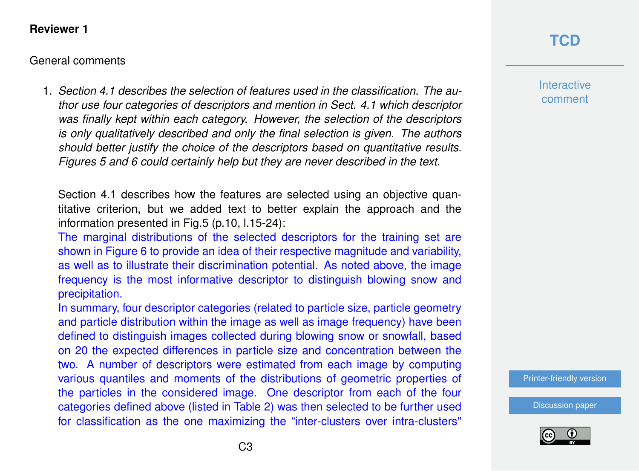#### **Reviewer 1**

#### General comments

1. *Section 4.1 describes the selection of features used in the classification. The author use four categories of descriptors and mention in Sect. 4.1 which descriptor was finally kept within each category. However, the selection of the descriptors is only qualitatively described and only the final selection is given. The authors should better justify the choice of the descriptors based on quantitative results. Figures 5 and 6 could certainly help but they are never described in the text.*

Section 4.1 describes how the features are selected using an objective quantitative criterion, but we added text to better explain the approach and the information presented in Fig.5 (p.10, l.15-24):

The marginal distributions of the selected descriptors for the training set are shown in Figure 6 to provide an idea of their respective magnitude and variability, as well as to illustrate their discrimination potential. As noted above, the image frequency is the most informative descriptor to distinguish blowing snow and precipitation.

In summary, four descriptor categories (related to particle size, particle geometry and particle distribution within the image as well as image frequency) have been defined to distinguish images collected during blowing snow or snowfall, based on 20 the expected differences in particle size and concentration between the two. A number of descriptors were estimated from each image by computing various quantiles and moments of the distributions of geometric properties of the particles in the considered image. One descriptor from each of the four categories defined above (listed in Table 2) was then selected to be further used for classification as the one maximizing the "inter-clusters over intra-clusters"

## **[TCD](https://www.the-cryosphere-discuss.net/)**

**Interactive** comment

[Printer-friendly version](https://www.the-cryosphere-discuss.net/tc-2018-248/tc-2018-248-AC1-print.pdf)

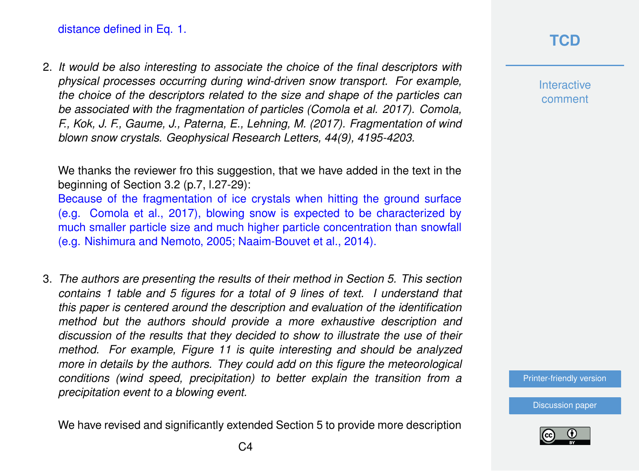2. *It would be also interesting to associate the choice of the final descriptors with physical processes occurring during wind-driven snow transport. For example, the choice of the descriptors related to the size and shape of the particles can be associated with the fragmentation of particles (Comola et al. 2017). Comola, F., Kok, J. F., Gaume, J., Paterna, E., Lehning, M. (2017). Fragmentation of wind blown snow crystals. Geophysical Research Letters, 44(9), 4195-4203.*

We thanks the reviewer fro this suggestion, that we have added in the text in the beginning of Section 3.2 (p.7, l.27-29): Because of the fragmentation of ice crystals when hitting the ground surface (e.g. Comola et al., 2017), blowing snow is expected to be characterized by much smaller particle size and much higher particle concentration than snowfall (e.g. Nishimura and Nemoto, 2005; Naaim-Bouvet et al., 2014).

3. *The authors are presenting the results of their method in Section 5. This section contains 1 table and 5 figures for a total of 9 lines of text. I understand that this paper is centered around the description and evaluation of the identification method but the authors should provide a more exhaustive description and discussion of the results that they decided to show to illustrate the use of their method. For example, Figure 11 is quite interesting and should be analyzed more in details by the authors. They could add on this figure the meteorological conditions (wind speed, precipitation) to better explain the transition from a precipitation event to a blowing event.*

We have revised and significantly extended Section 5 to provide more description

### **[TCD](https://www.the-cryosphere-discuss.net/)**

**Interactive** comment

[Printer-friendly version](https://www.the-cryosphere-discuss.net/tc-2018-248/tc-2018-248-AC1-print.pdf)

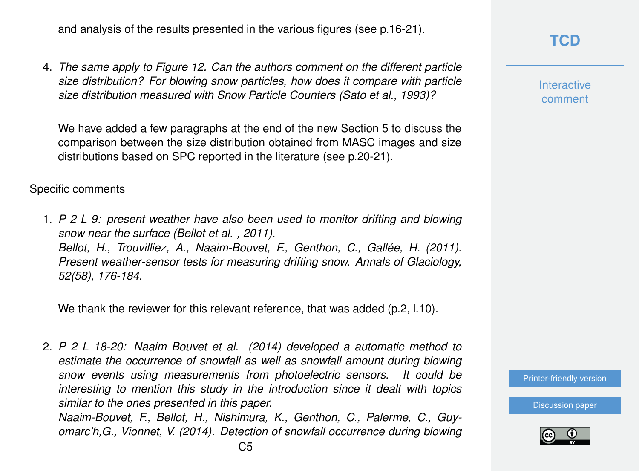and analysis of the results presented in the various figures (see p.16-21).

4. *The same apply to Figure 12. Can the authors comment on the different particle size distribution? For blowing snow particles, how does it compare with particle size distribution measured with Snow Particle Counters (Sato et al., 1993)?*

We have added a few paragraphs at the end of the new Section 5 to discuss the comparison between the size distribution obtained from MASC images and size distributions based on SPC reported in the literature (see p.20-21).

#### Specific comments

1. *P 2 L 9: present weather have also been used to monitor drifting and blowing snow near the surface (Bellot et al. , 2011). Bellot, H., Trouvilliez, A., Naaim-Bouvet, F., Genthon, C., Gallée, H. (2011). Present weather-sensor tests for measuring drifting snow. Annals of Glaciology, 52(58), 176-184.*

We thank the reviewer for this relevant reference, that was added (p.2, l.10).

2. *P 2 L 18-20: Naaim Bouvet et al. (2014) developed a automatic method to estimate the occurrence of snowfall as well as snowfall amount during blowing snow events using measurements from photoelectric sensors. It could be interesting to mention this study in the introduction since it dealt with topics similar to the ones presented in this paper.*

*Naaim-Bouvet, F., Bellot, H., Nishimura, K., Genthon, C., Palerme, C., Guyomarc'h,G., Vionnet, V. (2014). Detection of snowfall occurrence during blowing*

 $C<sub>5</sub>$ 

### **[TCD](https://www.the-cryosphere-discuss.net/)**

**Interactive** comment

[Printer-friendly version](https://www.the-cryosphere-discuss.net/tc-2018-248/tc-2018-248-AC1-print.pdf)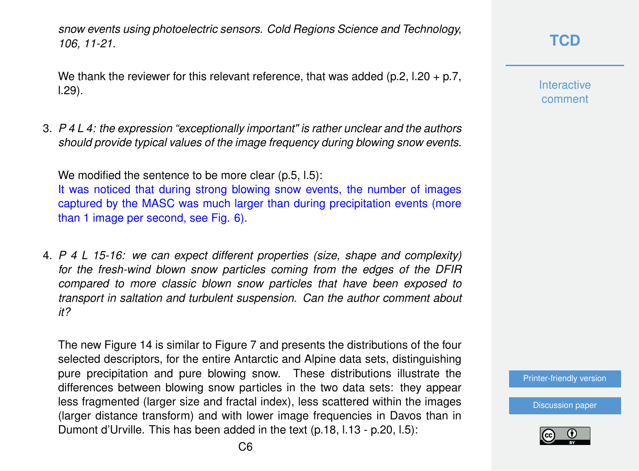*snow events using photoelectric sensors. Cold Regions Science and Technology, 106, 11-21.*

We thank the reviewer for this relevant reference, that was added (p.2, l.20 + p.7, l.29).

3. *P 4 L 4: the expression "exceptionally important" is rather unclear and the authors should provide typical values of the image frequency during blowing snow events.*

We modified the sentence to be more clear (p.5, l.5):

It was noticed that during strong blowing snow events, the number of images captured by the MASC was much larger than during precipitation events (more than 1 image per second, see Fig. 6).

4. *P 4 L 15-16: we can expect different properties (size, shape and complexity) for the fresh-wind blown snow particles coming from the edges of the DFIR compared to more classic blown snow particles that have been exposed to transport in saltation and turbulent suspension. Can the author comment about it?*

The new Figure 14 is similar to Figure 7 and presents the distributions of the four selected descriptors, for the entire Antarctic and Alpine data sets, distinguishing pure precipitation and pure blowing snow. These distributions illustrate the differences between blowing snow particles in the two data sets: they appear less fragmented (larger size and fractal index), less scattered within the images (larger distance transform) and with lower image frequencies in Davos than in Dumont d'Urville. This has been added in the text (p.18, l.13 - p.20, l.5):

**Interactive** comment

[Printer-friendly version](https://www.the-cryosphere-discuss.net/tc-2018-248/tc-2018-248-AC1-print.pdf)

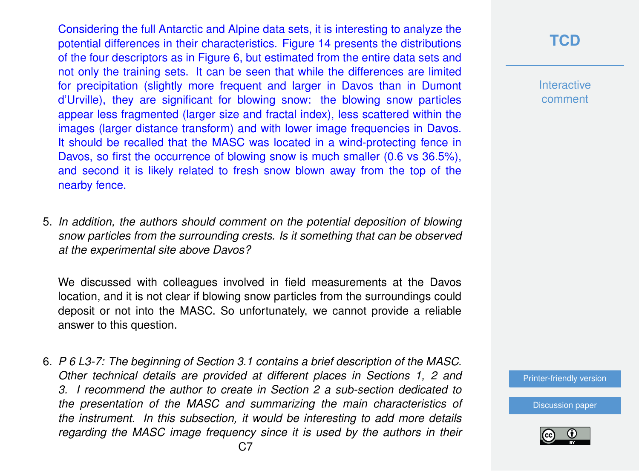Considering the full Antarctic and Alpine data sets, it is interesting to analyze the potential differences in their characteristics. Figure 14 presents the distributions of the four descriptors as in Figure 6, but estimated from the entire data sets and not only the training sets. It can be seen that while the differences are limited for precipitation (slightly more frequent and larger in Davos than in Dumont d'Urville), they are significant for blowing snow: the blowing snow particles appear less fragmented (larger size and fractal index), less scattered within the images (larger distance transform) and with lower image frequencies in Davos. It should be recalled that the MASC was located in a wind-protecting fence in Davos, so first the occurrence of blowing snow is much smaller (0.6 vs 36.5%), and second it is likely related to fresh snow blown away from the top of the nearby fence.

5. *In addition, the authors should comment on the potential deposition of blowing snow particles from the surrounding crests. Is it something that can be observed at the experimental site above Davos?*

We discussed with colleagues involved in field measurements at the Davos location, and it is not clear if blowing snow particles from the surroundings could deposit or not into the MASC. So unfortunately, we cannot provide a reliable answer to this question.

6. *P 6 L3-7: The beginning of Section 3.1 contains a brief description of the MASC. Other technical details are provided at different places in Sections 1, 2 and 3. I recommend the author to create in Section 2 a sub-section dedicated to the presentation of the MASC and summarizing the main characteristics of the instrument. In this subsection, it would be interesting to add more details regarding the MASC image frequency since it is used by the authors in their*

### **[TCD](https://www.the-cryosphere-discuss.net/)**

**Interactive** comment

[Printer-friendly version](https://www.the-cryosphere-discuss.net/tc-2018-248/tc-2018-248-AC1-print.pdf)

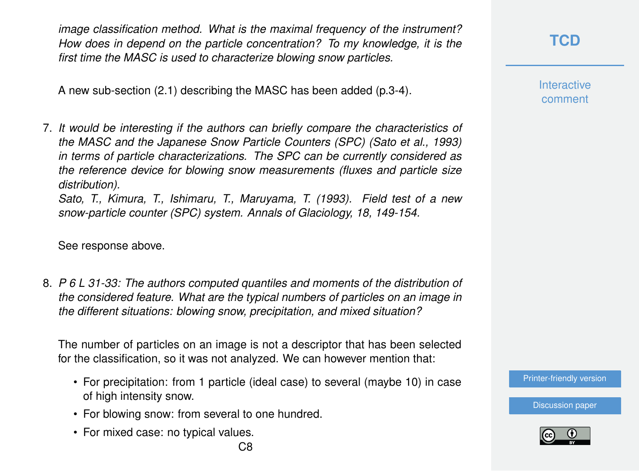*image classification method. What is the maximal frequency of the instrument? How does in depend on the particle concentration? To my knowledge, it is the first time the MASC is used to characterize blowing snow particles.*

A new sub-section (2.1) describing the MASC has been added (p.3-4).

7. *It would be interesting if the authors can briefly compare the characteristics of the MASC and the Japanese Snow Particle Counters (SPC) (Sato et al., 1993) in terms of particle characterizations. The SPC can be currently considered as the reference device for blowing snow measurements (fluxes and particle size distribution).*

*Sato, T., Kimura, T., Ishimaru, T., Maruyama, T. (1993). Field test of a new snow-particle counter (SPC) system. Annals of Glaciology, 18, 149-154.*

See response above.

8. *P 6 L 31-33: The authors computed quantiles and moments of the distribution of the considered feature. What are the typical numbers of particles on an image in the different situations: blowing snow, precipitation, and mixed situation?*

The number of particles on an image is not a descriptor that has been selected for the classification, so it was not analyzed. We can however mention that:

- For precipitation: from 1 particle (ideal case) to several (maybe 10) in case of high intensity snow.
- For blowing snow: from several to one hundred.
- For mixed case: no typical values.

**Interactive** comment

[Printer-friendly version](https://www.the-cryosphere-discuss.net/tc-2018-248/tc-2018-248-AC1-print.pdf)

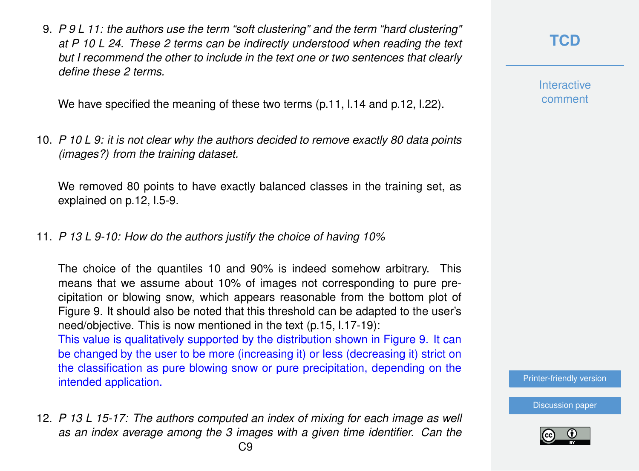9. *P 9 L 11: the authors use the term "soft clustering" and the term "hard clustering" at P 10 L 24. These 2 terms can be indirectly understood when reading the text but I recommend the other to include in the text one or two sentences that clearly define these 2 terms.*

We have specified the meaning of these two terms (p.11, l.14 and p.12, l.22).

10. *P 10 L 9: it is not clear why the authors decided to remove exactly 80 data points (images?) from the training dataset.*

We removed 80 points to have exactly balanced classes in the training set, as explained on p.12, l.5-9.

11. *P 13 L 9-10: How do the authors justify the choice of having 10%*

The choice of the quantiles 10 and 90% is indeed somehow arbitrary. This means that we assume about 10% of images not corresponding to pure precipitation or blowing snow, which appears reasonable from the bottom plot of Figure 9. It should also be noted that this threshold can be adapted to the user's need/objective. This is now mentioned in the text (p.15, l.17-19):

This value is qualitatively supported by the distribution shown in Figure 9. It can be changed by the user to be more (increasing it) or less (decreasing it) strict on the classification as pure blowing snow or pure precipitation, depending on the intended application.

12. *P 13 L 15-17: The authors computed an index of mixing for each image as well as an index average among the 3 images with a given time identifier. Can the*

**Interactive** comment

[Printer-friendly version](https://www.the-cryosphere-discuss.net/tc-2018-248/tc-2018-248-AC1-print.pdf)

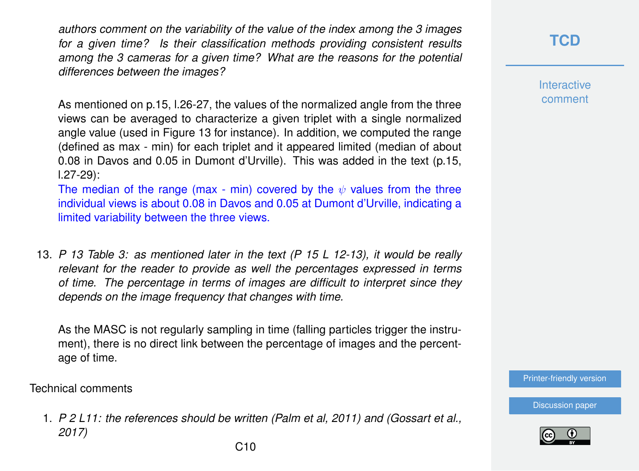*authors comment on the variability of the value of the index among the 3 images for a given time? Is their classification methods providing consistent results among the 3 cameras for a given time? What are the reasons for the potential differences between the images?*

As mentioned on p.15, l.26-27, the values of the normalized angle from the three views can be averaged to characterize a given triplet with a single normalized angle value (used in Figure 13 for instance). In addition, we computed the range (defined as max - min) for each triplet and it appeared limited (median of about 0.08 in Davos and 0.05 in Dumont d'Urville). This was added in the text (p.15, l.27-29):

The median of the range (max - min) covered by the  $\psi$  values from the three individual views is about 0.08 in Davos and 0.05 at Dumont d'Urville, indicating a limited variability between the three views.

13. *P 13 Table 3: as mentioned later in the text (P 15 L 12-13), it would be really relevant for the reader to provide as well the percentages expressed in terms of time. The percentage in terms of images are difficult to interpret since they depends on the image frequency that changes with time.*

As the MASC is not regularly sampling in time (falling particles trigger the instrument), there is no direct link between the percentage of images and the percentage of time.

Technical comments

1. *P 2 L11: the references should be written (Palm et al, 2011) and (Gossart et al., 2017)*

**Interactive** comment

[Printer-friendly version](https://www.the-cryosphere-discuss.net/tc-2018-248/tc-2018-248-AC1-print.pdf)

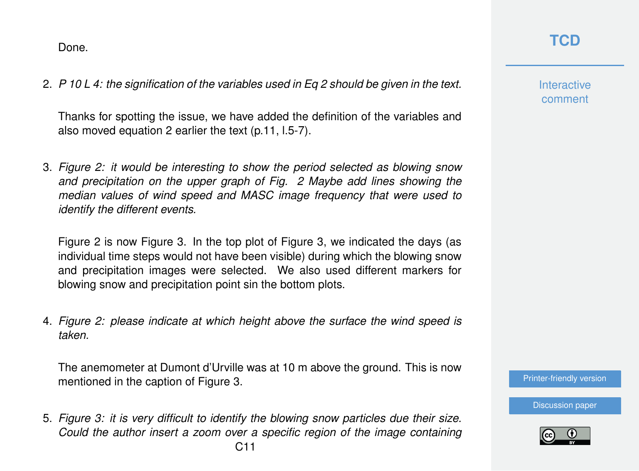Done.

2. *P 10 L 4: the signification of the variables used in Eq 2 should be given in the text.*

Thanks for spotting the issue, we have added the definition of the variables and also moved equation 2 earlier the text (p.11, l.5-7).

3. *Figure 2: it would be interesting to show the period selected as blowing snow and precipitation on the upper graph of Fig. 2 Maybe add lines showing the median values of wind speed and MASC image frequency that were used to identify the different events.*

Figure 2 is now Figure 3. In the top plot of Figure 3, we indicated the days (as individual time steps would not have been visible) during which the blowing snow and precipitation images were selected. We also used different markers for blowing snow and precipitation point sin the bottom plots.

4. *Figure 2: please indicate at which height above the surface the wind speed is taken.*

The anemometer at Dumont d'Urville was at 10 m above the ground. This is now mentioned in the caption of Figure 3.

5. *Figure 3: it is very difficult to identify the blowing snow particles due their size. Could the author insert a zoom over a specific region of the image containing*

## **[TCD](https://www.the-cryosphere-discuss.net/)**

**Interactive** comment

[Printer-friendly version](https://www.the-cryosphere-discuss.net/tc-2018-248/tc-2018-248-AC1-print.pdf)

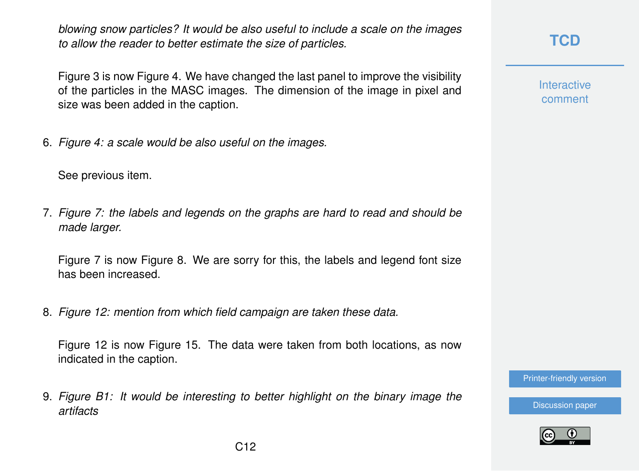*blowing snow particles? It would be also useful to include a scale on the images to allow the reader to better estimate the size of particles.*

Figure 3 is now Figure 4. We have changed the last panel to improve the visibility of the particles in the MASC images. The dimension of the image in pixel and size was been added in the caption.

6. *Figure 4: a scale would be also useful on the images.*

See previous item.

7. *Figure 7: the labels and legends on the graphs are hard to read and should be made larger.*

Figure 7 is now Figure 8. We are sorry for this, the labels and legend font size has been increased.

8. *Figure 12: mention from which field campaign are taken these data.*

Figure 12 is now Figure 15. The data were taken from both locations, as now indicated in the caption.

9. *Figure B1: It would be interesting to better highlight on the binary image the artifacts*

**[TCD](https://www.the-cryosphere-discuss.net/)**

**Interactive** comment

[Printer-friendly version](https://www.the-cryosphere-discuss.net/tc-2018-248/tc-2018-248-AC1-print.pdf)

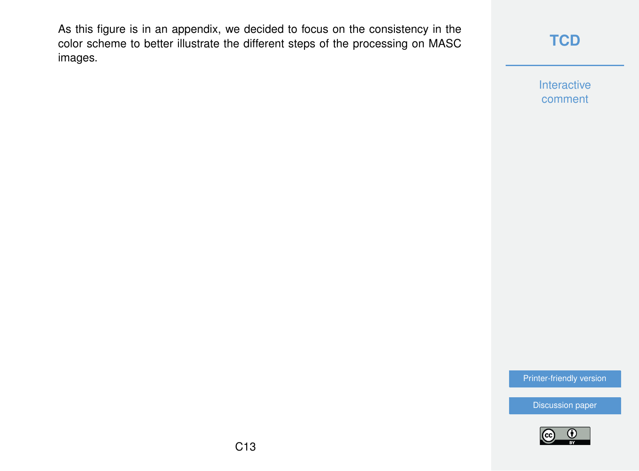As this figure is in an appendix, we decided to focus on the consistency in the color scheme to better illustrate the different steps of the processing on MASC images.

### **[TCD](https://www.the-cryosphere-discuss.net/)**

Interactive comment

[Printer-friendly version](https://www.the-cryosphere-discuss.net/tc-2018-248/tc-2018-248-AC1-print.pdf)

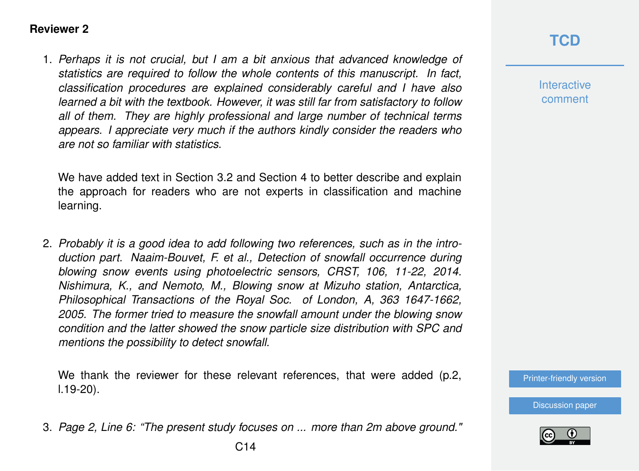#### **Reviewer 2**

1. *Perhaps it is not crucial, but I am a bit anxious that advanced knowledge of statistics are required to follow the whole contents of this manuscript. In fact, classification procedures are explained considerably careful and I have also learned a bit with the textbook. However, it was still far from satisfactory to follow all of them. They are highly professional and large number of technical terms appears. I appreciate very much if the authors kindly consider the readers who are not so familiar with statistics.*

We have added text in Section 3.2 and Section 4 to better describe and explain the approach for readers who are not experts in classification and machine learning.

2. *Probably it is a good idea to add following two references, such as in the introduction part. Naaim-Bouvet, F. et al., Detection of snowfall occurrence during blowing snow events using photoelectric sensors, CRST, 106, 11-22, 2014. Nishimura, K., and Nemoto, M., Blowing snow at Mizuho station, Antarctica, Philosophical Transactions of the Royal Soc. of London, A, 363 1647-1662, 2005. The former tried to measure the snowfall amount under the blowing snow condition and the latter showed the snow particle size distribution with SPC and mentions the possibility to detect snowfall.*

We thank the reviewer for these relevant references, that were added (p.2, l.19-20).

3. *Page 2, Line 6: "The present study focuses on ... more than 2m above ground."*

### **[TCD](https://www.the-cryosphere-discuss.net/)**

**Interactive** comment

[Printer-friendly version](https://www.the-cryosphere-discuss.net/tc-2018-248/tc-2018-248-AC1-print.pdf)

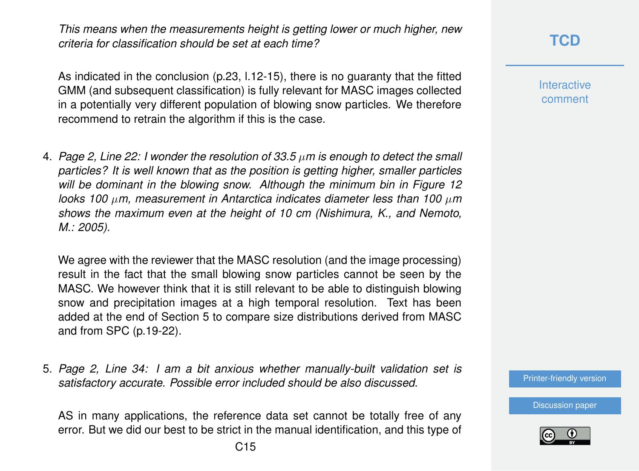*This means when the measurements height is getting lower or much higher, new criteria for classification should be set at each time?*

As indicated in the conclusion (p.23, l.12-15), there is no guaranty that the fitted GMM (and subsequent classification) is fully relevant for MASC images collected in a potentially very different population of blowing snow particles. We therefore recommend to retrain the algorithm if this is the case.

4. *Page 2, Line 22: I wonder the resolution of 33.5* µ*m is enough to detect the small particles? It is well known that as the position is getting higher, smaller particles will be dominant in the blowing snow. Although the minimum bin in Figure 12 looks 100* µ*m, measurement in Antarctica indicates diameter less than 100* µ*m shows the maximum even at the height of 10 cm (Nishimura, K., and Nemoto, M.: 2005).*

We agree with the reviewer that the MASC resolution (and the image processing) result in the fact that the small blowing snow particles cannot be seen by the MASC. We however think that it is still relevant to be able to distinguish blowing snow and precipitation images at a high temporal resolution. Text has been added at the end of Section 5 to compare size distributions derived from MASC and from SPC (p.19-22).

5. *Page 2, Line 34: I am a bit anxious whether manually-built validation set is satisfactory accurate. Possible error included should be also discussed.*

AS in many applications, the reference data set cannot be totally free of any error. But we did our best to be strict in the manual identification, and this type of

**Interactive** comment

[Printer-friendly version](https://www.the-cryosphere-discuss.net/tc-2018-248/tc-2018-248-AC1-print.pdf)

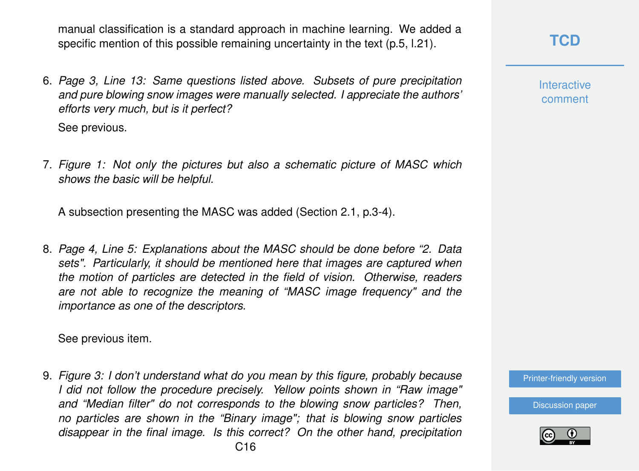manual classification is a standard approach in machine learning. We added a specific mention of this possible remaining uncertainty in the text (p.5, l.21).

6. *Page 3, Line 13: Same questions listed above. Subsets of pure precipitation and pure blowing snow images were manually selected. I appreciate the authors' efforts very much, but is it perfect?*

See previous.

7. *Figure 1: Not only the pictures but also a schematic picture of MASC which shows the basic will be helpful.*

A subsection presenting the MASC was added (Section 2.1, p.3-4).

8. *Page 4, Line 5: Explanations about the MASC should be done before "2. Data sets". Particularly, it should be mentioned here that images are captured when the motion of particles are detected in the field of vision. Otherwise, readers are not able to recognize the meaning of "MASC image frequency" and the importance as one of the descriptors.*

See previous item.

9. *Figure 3: I don't understand what do you mean by this figure, probably because I did not follow the procedure precisely. Yellow points shown in "Raw image" and "Median filter" do not corresponds to the blowing snow particles? Then, no particles are shown in the "Binary image"; that is blowing snow particles disappear in the final image. Is this correct? On the other hand, precipitation*

**Interactive** comment

[Printer-friendly version](https://www.the-cryosphere-discuss.net/tc-2018-248/tc-2018-248-AC1-print.pdf)

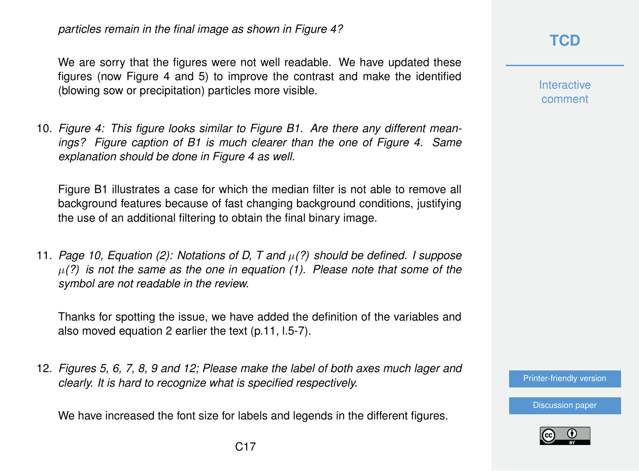*particles remain in the final image as shown in Figure 4?*

We are sorry that the figures were not well readable. We have updated these figures (now Figure 4 and 5) to improve the contrast and make the identified (blowing sow or precipitation) particles more visible.

10. *Figure 4: This figure looks similar to Figure B1. Are there any different meanings? Figure caption of B1 is much clearer than the one of Figure 4. Same explanation should be done in Figure 4 as well.*

Figure B1 illustrates a case for which the median filter is not able to remove all background features because of fast changing background conditions, justifying the use of an additional filtering to obtain the final binary image.

11. *Page 10, Equation (2): Notations of D, T and* µ*(?) should be defined. I suppose* µ*(?) is not the same as the one in equation (1). Please note that some of the symbol are not readable in the review.*

Thanks for spotting the issue, we have added the definition of the variables and also moved equation 2 earlier the text (p.11, l.5-7).

12. *Figures 5, 6, 7, 8, 9 and 12; Please make the label of both axes much lager and clearly. It is hard to recognize what is specified respectively.*

We have increased the font size for labels and legends in the different figures.

### **[TCD](https://www.the-cryosphere-discuss.net/)**

**Interactive** comment

[Printer-friendly version](https://www.the-cryosphere-discuss.net/tc-2018-248/tc-2018-248-AC1-print.pdf)

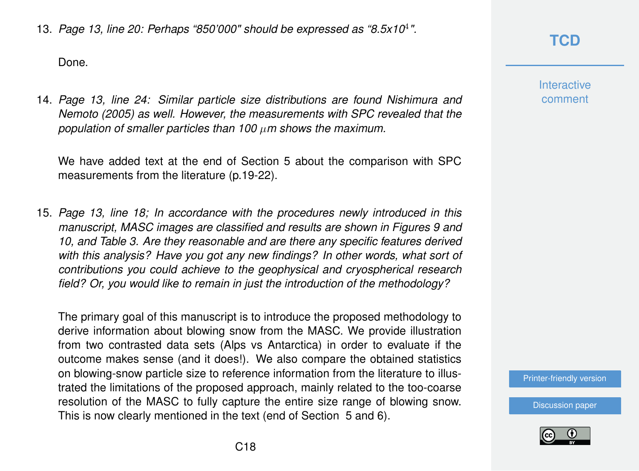13. *Page 13, line 20: Perhaps "850'000" should be expressed as "8.5x10*<sup>4</sup> *".*

Done.

14. *Page 13, line 24: Similar particle size distributions are found Nishimura and Nemoto (2005) as well. However, the measurements with SPC revealed that the population of smaller particles than 100* µ*m shows the maximum.*

We have added text at the end of Section 5 about the comparison with SPC measurements from the literature (p.19-22).

15. *Page 13, line 18; In accordance with the procedures newly introduced in this manuscript, MASC images are classified and results are shown in Figures 9 and 10, and Table 3. Are they reasonable and are there any specific features derived with this analysis? Have you got any new findings? In other words, what sort of contributions you could achieve to the geophysical and cryospherical research field? Or, you would like to remain in just the introduction of the methodology?*

The primary goal of this manuscript is to introduce the proposed methodology to derive information about blowing snow from the MASC. We provide illustration from two contrasted data sets (Alps vs Antarctica) in order to evaluate if the outcome makes sense (and it does!). We also compare the obtained statistics on blowing-snow particle size to reference information from the literature to illustrated the limitations of the proposed approach, mainly related to the too-coarse resolution of the MASC to fully capture the entire size range of blowing snow. This is now clearly mentioned in the text (end of Section 5 and 6).

**[TCD](https://www.the-cryosphere-discuss.net/)**

**Interactive** comment

[Printer-friendly version](https://www.the-cryosphere-discuss.net/tc-2018-248/tc-2018-248-AC1-print.pdf)